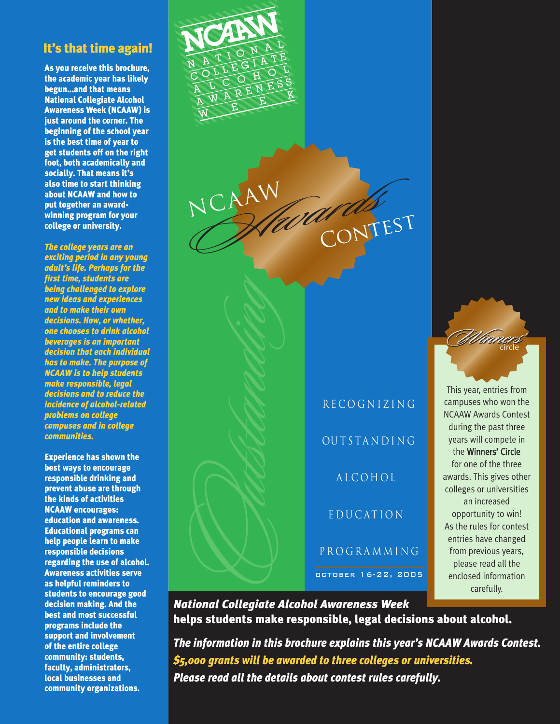# **It's that time again!**

**As you receive this brochure, the academic year has likely begun...and that means National Collegiate Alcohol Awareness Week (NCAAW) is just around the corner. The beginning of the school year is the best time of year to get students off on the right foot, both academically and socially. That means it's also time to start thinking about NCAAW and how to put together an awardwinning program for your college or university.** 

*The college years are an exciting period in any young adult's life. Perhaps for the first time, students are being challenged to explore new ideas and experiences and to make their own decisions. How, or whether, one chooses to drink alcohol beverages is an important decision that each individual has to make. The purpose of NCAAW is to help students make responsible, legal decisions and to reduce the incidence of alcohol-related problems on college campuses and in college communities.*

**Experience has shown the best ways to encourage responsible drinking and prevent abuse are through the kinds of activities NCAAW encourages: education and awareness. Educational programs can help people learn to make responsible decisions regarding the use of alcohol. Awareness activities serve as helpful reminders to students to encourage good decision making. And the best and most successful programs include the support and involvement of the entire college community: students, faculty, administrators, local businesses and community organizations.**



NCAAW CONTEST WEST CONTEST NCAAW Nagarda CRITEST

a lco hol e ducat ion p rog ramming RECOGNIZING<br>
OUTSTANDING<br>
ALCOHOL<br>
EDUCATION<br>
PROGRAMMING

This year, entries from campuses who won the NCAAW Awards Contest during the past three years will compete in the Winners' Circle for one of the three awards. This gives other colleges or universities an increased opportunity to win! As the rules for contest entries have changed from previous years, please read all the enclosed information carefully.

W circle Winners' inners'

*National Collegiate Alcohol Awareness Week* **helps students make responsible, legal decisions about alcohol.**

*The information in this brochure explains this year's NCAAW Awards Contest. \$5,000 grants will be awarded to three colleges or universities. Please read all the details about contest rules carefully.*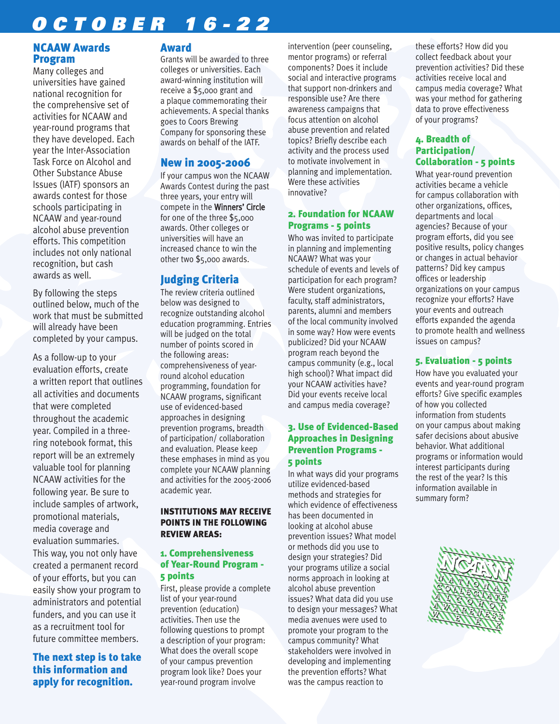# *OCTOBER 16-22*

## **NCAAW Awards Program**

Many colleges and universities have gained national recognition for the comprehensive set of activities for NCAAW and year-round programs that they have developed. Each year the Inter-Association Task Force on Alcohol and Other Substance Abuse Issues (IATF) sponsors an awards contest for those schools participating in NCAAW and year-round alcohol abuse prevention efforts. This competition includes not only national recognition, but cash awards as well.

By following the steps outlined below, much of the work that must be submitted will already have been completed by your campus.

As a follow-up to your evaluation efforts, create a written report that outlines all activities and documents that were completed throughout the academic year. Compiled in a threering notebook format, this report will be an extremely valuable tool for planning NCAAW activities for the following year. Be sure to include samples of artwork, promotional materials, media coverage and evaluation summaries. This way, you not only have created a permanent record of your efforts, but you can easily show your program to administrators and potential funders, and you can use it as a recruitment tool for future committee members.

# **The next step is to take this information and apply for recognition.**

#### **Award**

Grants will be awarded to three colleges or universities. Each award-winning institution will receive a \$5,000 grant and a plaque commemorating their achievements. A special thanks goes to Coors Brewing Company for sponsoring these awards on behalf of the IATF.

# **New in 2005-2006**

If your campus won the NCAAW Awards Contest during the past three years, your entry will compete in the Winners' Circle for one of the three \$5,000 awards. Other colleges or universities will have an increased chance to win the other two \$5,000 awards.

# **Judging Criteria**

The review criteria outlined below was designed to recognize outstanding alcohol education programming. Entries will be judged on the total number of points scored in the following areas: comprehensiveness of yearround alcohol education programming, foundation for NCAAW programs, significant use of evidenced-based approaches in designing prevention programs, breadth of participation/ collaboration and evaluation. Please keep these emphases in mind as you complete your NCAAW planning and activities for the 2005-2006 academic year.

#### **INSTITUTIONS MAY RECEIVE POINTS IN THE FOLLOWING REVIEW AREAS:**

#### **1. Comprehensiveness of Year-Round Program - 5 points**

First, please provide a complete list of your year-round prevention (education) activities. Then use the following questions to prompt a description of your program: What does the overall scope of your campus prevention program look like? Does your year-round program involve

intervention (peer counseling, mentor programs) or referral components? Does it include social and interactive programs that support non-drinkers and responsible use? Are there awareness campaigns that focus attention on alcohol abuse prevention and related topics? Briefly describe each activity and the process used to motivate involvement in planning and implementation. Were these activities innovative?

#### **2. Foundation for NCAAW Programs - 5 points**

Who was invited to participate in planning and implementing NCAAW? What was your schedule of events and levels of participation for each program? Were student organizations, faculty, staff administrators, parents, alumni and members of the local community involved in some way? How were events publicized? Did your NCAAW program reach beyond the campus community (e.g., local high school)? What impact did your NCAAW activities have? Did your events receive local and campus media coverage?

#### **3. Use of Evidenced-Based Approaches in Designing Prevention Programs - 5 points**

In what ways did your programs utilize evidenced-based methods and strategies for which evidence of effectiveness has been documented in looking at alcohol abuse prevention issues? What model or methods did you use to design your strategies? Did your programs utilize a social norms approach in looking at alcohol abuse prevention issues? What data did you use to design your messages? What media avenues were used to promote your program to the campus community? What stakeholders were involved in developing and implementing the prevention efforts? What was the campus reaction to

these efforts? How did you collect feedback about your prevention activities? Did these activities receive local and campus media coverage? What was your method for gathering data to prove effectiveness of your programs?

#### **4. Breadth of Participation/ Collaboration - 5 points**

What year-round prevention activities became a vehicle for campus collaboration with other organizations, offices, departments and local agencies? Because of your program efforts, did you see positive results, policy changes or changes in actual behavior patterns? Did key campus offices or leadership organizations on your campus recognize your efforts? Have your events and outreach efforts expanded the agenda to promote health and wellness issues on campus?

#### **5. Evaluation - 5 points**

How have you evaluated your events and year-round program efforts? Give specific examples of how you collected information from students on your campus about making safer decisions about abusive behavior. What additional programs or information would interest participants during the rest of the year? Is this information available in summary form?